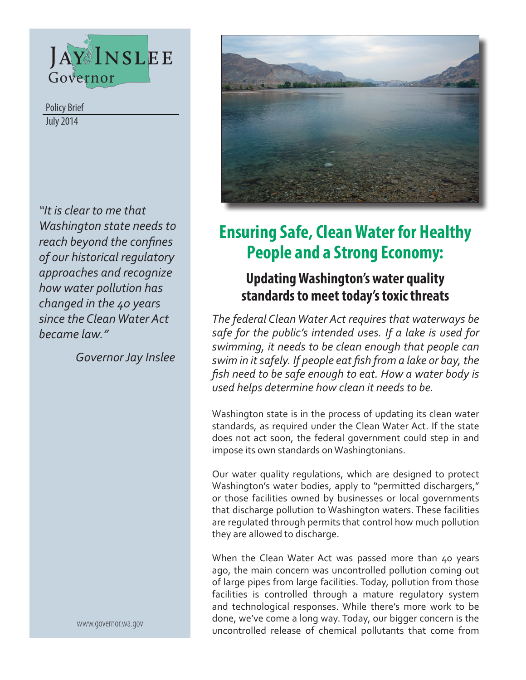

July 2014 Policy Brief

*"It is clear to me that Washington state needs to reach beyond the confines of our historical regulatory approaches and recognize how water pollution has changed in the 40 years since the Clean Water Act became law."*

*Governor Jay Inslee*

www.governor.wa.gov



# **Ensuring Safe, Clean Water for Healthy People and a Strong Economy:**

# **Updating Washington's water quality standards to meet today's toxic threats**

*The federal Clean Water Act requires that waterways be safe for the public's intended uses. If a lake is used for swimming, it needs to be clean enough that people can swim in it safely. If people eat fish from a lake or bay, the fish need to be safe enough to eat. How a water body is used helps determine how clean it needs to be.* 

Washington state is in the process of updating its clean water standards, as required under the Clean Water Act. If the state does not act soon, the federal government could step in and impose its own standards on Washingtonians.

Our water quality regulations, which are designed to protect Washington's water bodies, apply to "permitted dischargers," or those facilities owned by businesses or local governments that discharge pollution to Washington waters. These facilities are regulated through permits that control how much pollution they are allowed to discharge.

When the Clean Water Act was passed more than 40 years ago, the main concern was uncontrolled pollution coming out of large pipes from large facilities. Today, pollution from those facilities is controlled through a mature regulatory system and technological responses. While there's more work to be done, we've come a long way. Today, our bigger concern is the uncontrolled release of chemical pollutants that come from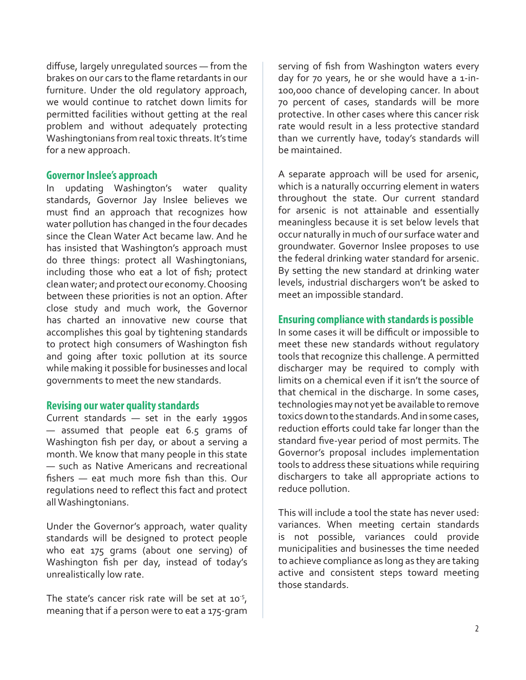diffuse, largely unregulated sources — from the brakes on our cars to the flame retardants in our furniture. Under the old regulatory approach, we would continue to ratchet down limits for permitted facilities without getting at the real problem and without adequately protecting Washingtonians from real toxic threats. It's time for a new approach.

# **Governor Inslee's approach**

In updating Washington's water quality standards, Governor Jay Inslee believes we must find an approach that recognizes how water pollution has changed in the four decades since the Clean Water Act became law. And he has insisted that Washington's approach must do three things: protect all Washingtonians, including those who eat a lot of fish; protect clean water; and protect our economy. Choosing between these priorities is not an option. After close study and much work, the Governor has charted an innovative new course that accomplishes this goal by tightening standards to protect high consumers of Washington fish and going after toxic pollution at its source while making it possible for businesses and local governments to meet the new standards.

# **Revising our water quality standards**

Current standards — set in the early 1990s — assumed that people eat 6.5 grams of Washington fish per day, or about a serving a month. We know that many people in this state — such as Native Americans and recreational fishers — eat much more fish than this. Our regulations need to reflect this fact and protect all Washingtonians.

Under the Governor's approach, water quality standards will be designed to protect people who eat 175 grams (about one serving) of Washington fish per day, instead of today's unrealistically low rate.

The state's cancer risk rate will be set at  $10^{-5}$ , meaning that if a person were to eat a 175-gram serving of fish from Washington waters every day for 70 years, he or she would have a 1-in-100,000 chance of developing cancer. In about 70 percent of cases, standards will be more protective. In other cases where this cancer risk rate would result in a less protective standard than we currently have, today's standards will be maintained.

A separate approach will be used for arsenic, which is a naturally occurring element in waters throughout the state. Our current standard for arsenic is not attainable and essentially meaningless because it is set below levels that occur naturally in much of our surface water and groundwater. Governor Inslee proposes to use the federal drinking water standard for arsenic. By setting the new standard at drinking water levels, industrial dischargers won't be asked to meet an impossible standard.

#### **Ensuring compliance with standards is possible**

In some cases it will be difficult or impossible to meet these new standards without regulatory tools that recognize this challenge. A permitted discharger may be required to comply with limits on a chemical even if it isn't the source of that chemical in the discharge. In some cases, technologies may not yet be available to remove toxics down to the standards. And in some cases, reduction efforts could take far longer than the standard five-year period of most permits. The Governor's proposal includes implementation tools to address these situations while requiring dischargers to take all appropriate actions to reduce pollution.

This will include a tool the state has never used: variances. When meeting certain standards is not possible, variances could provide municipalities and businesses the time needed to achieve compliance as long as they are taking active and consistent steps toward meeting those standards.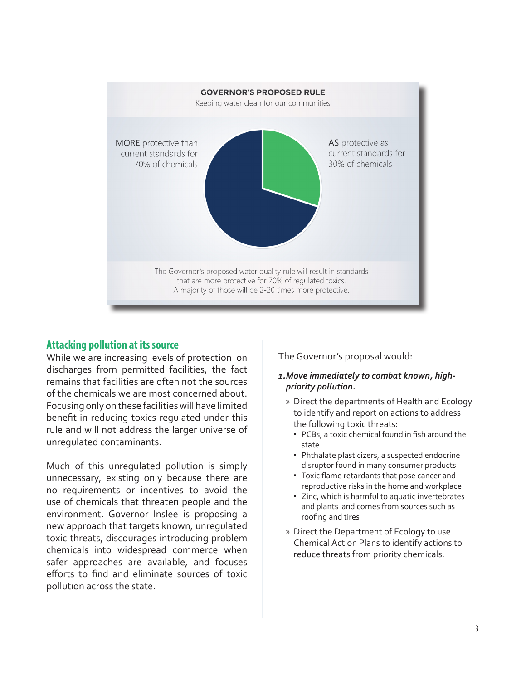

# **Attacking pollution at its source**

While we are increasing levels of protection on discharges from permitted facilities, the fact remains that facilities are often not the sources of the chemicals we are most concerned about. Focusing only on these facilities will have limited benefit in reducing toxics regulated under this rule and will not address the larger universe of unregulated contaminants.

Much of this unregulated pollution is simply unnecessary, existing only because there are no requirements or incentives to avoid the use of chemicals that threaten people and the environment. Governor Inslee is proposing a new approach that targets known, unregulated toxic threats, discourages introducing problem chemicals into widespread commerce when safer approaches are available, and focuses efforts to find and eliminate sources of toxic pollution across the state.

The Governor's proposal would:

# *1.Move immediately to combat known, highpriority pollution.*

- » Direct the departments of Health and Ecology to identify and report on actions to address the following toxic threats:
	- PCBs, a toxic chemical found in fish around the state
	- Phthalate plasticizers, a suspected endocrine disruptor found in many consumer products
	- Toxic flame retardants that pose cancer and reproductive risks in the home and workplace
	- Zinc, which is harmful to aquatic invertebrates and plants and comes from sources such as roofing and tires
- » Direct the Department of Ecology to use Chemical Action Plans to identify actions to reduce threats from priority chemicals.